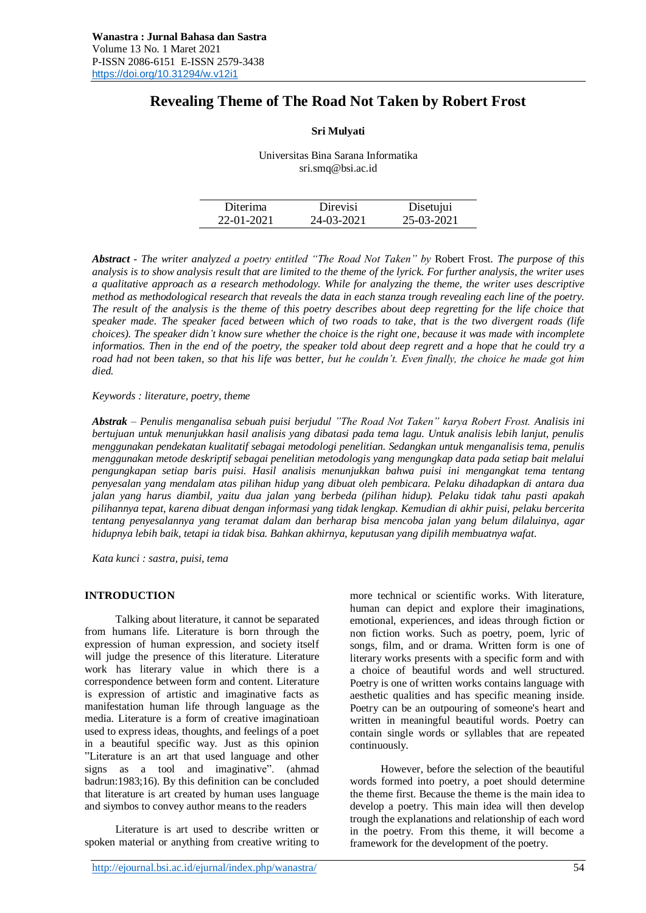# **Revealing Theme of The Road Not Taken by Robert Frost**

## **Sri Mulyati**

Universitas Bina Sarana Informatika sri.smq@bsi.ac.id

| Diterima   | Direvisi   | Disetujui  |
|------------|------------|------------|
| 22-01-2021 | 24-03-2021 | 25-03-2021 |

*Abstract - The writer analyzed a poetry entitled "The Road Not Taken" by* Robert Frost*. The purpose of this analysis is to show analysis result that are limited to the theme of the lyrick. For further analysis, the writer uses a qualitative approach as a research methodology. While for analyzing the theme, the writer uses descriptive method as methodological research that reveals the data in each stanza trough revealing each line of the poetry. The result of the analysis is the theme of this poetry describes about deep regretting for the life choice that speaker made. The speaker faced between which of two roads to take, that is the two divergent roads (life choices). The speaker didn't know sure whether the choice is the right one, because it was made with incomplete informatios. Then in the end of the poetry, the speaker told about deep regrett and a hope that he could try a road had not been taken, so that his life was better, but he couldn't. Even finally, the choice he made got him died.*

### *Keywords : literature, poetry, theme*

*Abstrak – Penulis menganalisa sebuah puisi berjudul "The Road Not Taken" karya Robert Frost. Analisis ini bertujuan untuk menunjukkan hasil analisis yang dibatasi pada tema lagu. Untuk analisis lebih lanjut, penulis menggunakan pendekatan kualitatif sebagai metodologi penelitian. Sedangkan untuk menganalisis tema, penulis menggunakan metode deskriptif sebagai penelitian metodologis yang mengungkap data pada setiap bait melalui pengungkapan setiap baris puisi. Hasil analisis menunjukkan bahwa puisi ini mengangkat tema tentang penyesalan yang mendalam atas pilihan hidup yang dibuat oleh pembicara. Pelaku dihadapkan di antara dua jalan yang harus diambil, yaitu dua jalan yang berbeda (pilihan hidup). Pelaku tidak tahu pasti apakah pilihannya tepat, karena dibuat dengan informasi yang tidak lengkap. Kemudian di akhir puisi, pelaku bercerita tentang penyesalannya yang teramat dalam dan berharap bisa mencoba jalan yang belum dilaluinya, agar hidupnya lebih baik, tetapi ia tidak bisa. Bahkan akhirnya, keputusan yang dipilih membuatnya wafat.*

*Kata kunci : sastra, puisi, tema*

#### **INTRODUCTION**

Talking about literature, it cannot be separated from humans life. Literature is born through the expression of human expression, and society itself will judge the presence of this literature. Literature work has literary value in which there is a correspondence between form and content. Literature is expression of artistic and imaginative facts as manifestation human life through language as the media. Literature is a form of creative imaginatioan used to express ideas, thoughts, and feelings of a poet in a beautiful specific way. Just as this opinion "Literature is an art that used language and other signs as a tool and imaginative". (ahmad badrun:1983;16). By this definition can be concluded that literature is art created by human uses language and siymbos to convey author means to the readers

Literature is art used to describe written or spoken material or anything from creative writing to

http://ejournal.bsi.ac.id/ejurnal/index.php/wanastra/ 54

more technical or scientific works. With literature, human can depict and explore their imaginations, emotional, experiences, and ideas through fiction or non fiction works. Such as poetry, poem, lyric of songs, film, and or drama. Written form is one of literary works presents with a specific form and with a choice of beautiful words and well structured. Poetry is one of written works contains language with aesthetic qualities and has specific meaning inside. Poetry can be an outpouring of someone's heart and written in meaningful beautiful words. Poetry can contain single words or syllables that are repeated continuously.

However, before the selection of the beautiful words formed into poetry, a poet should determine the theme first. Because the theme is the main idea to develop a poetry. This main idea will then develop trough the explanations and relationship of each word in the poetry. From this theme, it will become a framework for the development of the poetry.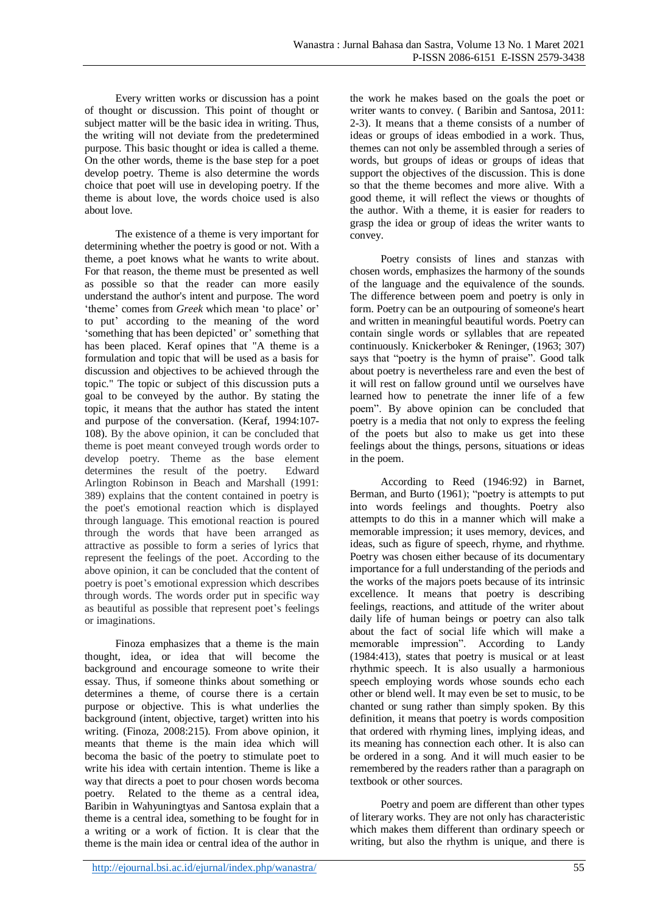Every written works or discussion has a point of thought or discussion. This point of thought or subject matter will be the basic idea in writing. Thus, the writing will not deviate from the predetermined purpose. This basic thought or idea is called a theme. On the other words, theme is the base step for a poet develop poetry. Theme is also determine the words choice that poet will use in developing poetry. If the theme is about love, the words choice used is also about love.

The existence of a theme is very important for determining whether the poetry is good or not. With a theme, a poet knows what he wants to write about. For that reason, the theme must be presented as well as possible so that the reader can more easily understand the author's intent and purpose. The word 'theme' comes from *Greek* which mean 'to place' or' to put' according to the meaning of the word 'something that has been depicted' or' something that has been placed. Keraf opines that "A theme is a formulation and topic that will be used as a basis for discussion and objectives to be achieved through the topic." The topic or subject of this discussion puts a goal to be conveyed by the author. By stating the topic, it means that the author has stated the intent and purpose of the conversation. (Keraf, 1994:107- 108). By the above opinion, it can be concluded that theme is poet meant conveyed trough words order to develop poetry. Theme as the base element determines the result of the poetry. Edward Arlington Robinson in Beach and Marshall (1991: 389) explains that the content contained in poetry is the poet's emotional reaction which is displayed through language. This emotional reaction is poured through the words that have been arranged as attractive as possible to form a series of lyrics that represent the feelings of the poet. According to the above opinion, it can be concluded that the content of poetry is poet's emotional expression which describes through words. The words order put in specific way as beautiful as possible that represent poet's feelings or imaginations.

Finoza emphasizes that a theme is the main thought, idea, or idea that will become the background and encourage someone to write their essay. Thus, if someone thinks about something or determines a theme, of course there is a certain purpose or objective. This is what underlies the background (intent, objective, target) written into his writing. (Finoza, 2008:215). From above opinion, it meants that theme is the main idea which will becoma the basic of the poetry to stimulate poet to write his idea with certain intention. Theme is like a way that directs a poet to pour chosen words becoma poetry. Related to the theme as a central idea, Baribin in Wahyuningtyas and Santosa explain that a theme is a central idea, something to be fought for in a writing or a work of fiction. It is clear that the theme is the main idea or central idea of the author in

the work he makes based on the goals the poet or writer wants to convey. ( Baribin and Santosa, 2011: 2-3). It means that a theme consists of a number of ideas or groups of ideas embodied in a work. Thus, themes can not only be assembled through a series of words, but groups of ideas or groups of ideas that support the objectives of the discussion. This is done so that the theme becomes and more alive. With a good theme, it will reflect the views or thoughts of the author. With a theme, it is easier for readers to grasp the idea or group of ideas the writer wants to convey.

Poetry consists of lines and stanzas with chosen words, emphasizes the harmony of the sounds of the language and the equivalence of the sounds. The difference between poem and poetry is only in form. Poetry can be an outpouring of someone's heart and written in meaningful beautiful words. Poetry can contain single words or syllables that are repeated continuously. Knickerboker & Reninger, (1963; 307) says that "poetry is the hymn of praise". Good talk about poetry is nevertheless rare and even the best of it will rest on fallow ground until we ourselves have learned how to penetrate the inner life of a few poem". By above opinion can be concluded that poetry is a media that not only to express the feeling of the poets but also to make us get into these feelings about the things, persons, situations or ideas in the poem.

According to Reed (1946:92) in Barnet, Berman, and Burto (1961); "poetry is attempts to put into words feelings and thoughts. Poetry also attempts to do this in a manner which will make a memorable impression; it uses memory, devices, and ideas, such as figure of speech, rhyme, and rhythme. Poetry was chosen either because of its documentary importance for a full understanding of the periods and the works of the majors poets because of its intrinsic excellence. It means that poetry is describing feelings, reactions, and attitude of the writer about daily life of human beings or poetry can also talk about the fact of social life which will make a memorable impression". According to Landy (1984:413), states that poetry is musical or at least rhythmic speech. It is also usually a harmonious speech employing words whose sounds echo each other or blend well. It may even be set to music, to be chanted or sung rather than simply spoken. By this definition, it means that poetry is words composition that ordered with rhyming lines, implying ideas, and its meaning has connection each other. It is also can be ordered in a song. And it will much easier to be remembered by the readers rather than a paragraph on textbook or other sources.

Poetry and poem are different than other types of literary works. They are not only has characteristic which makes them different than ordinary speech or writing, but also the rhythm is unique, and there is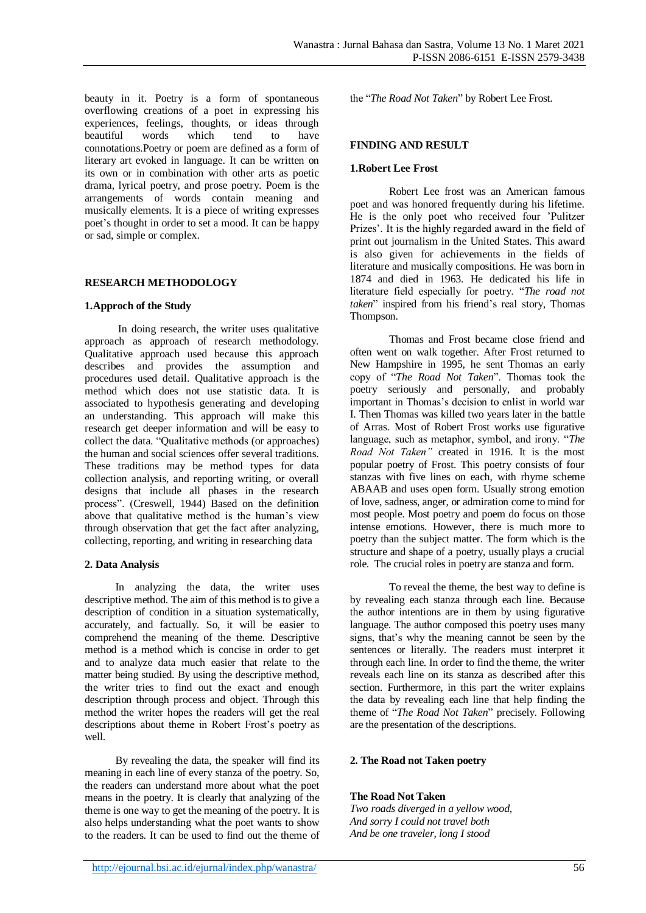**FINDING AND RESULT**

**1.Robert Lee Frost**

the "*The Road Not Taken*" by Robert Lee Frost.

Robert Lee frost was an American famous

Thomas and Frost became close friend and

often went on walk together. After Frost returned to New Hampshire in 1995, he sent Thomas an early copy of "*The Road Not Taken*". Thomas took the poetry seriously and personally, and probably important in Thomas's decision to enlist in world war I. Then Thomas was killed two years later in the battle of Arras. Most of Robert Frost works use figurative language, such as metaphor, symbol, and irony. "*The Road Not Taken"* created in 1916. It is the most popular poetry of Frost. This poetry consists of four stanzas with five lines on each, with rhyme scheme

poet and was honored frequently during his lifetime. He is the only poet who received four 'Pulitzer Prizes'. It is the highly regarded award in the field of print out journalism in the United States. This award is also given for achievements in the fields of literature and musically composition*s.* He was born in 1874 and died in 1963. He dedicated his life in literature field especially for poetry. "*The road not taken*" inspired from his friend's real story, Thomas

beauty in it. Poetry is a form of spontaneous overflowing creations of a poet in expressing his experiences, feelings, thoughts, or ideas through beautiful words which tend to have connotations.Poetry or poem are defined as a form of literary art evoked in language. It can be written on its own or in combination with other arts as poetic drama, lyrical poetry, and prose poetry. Poem is the arrangements of words contain meaning and musically elements. It is a piece of writing expresses poet's thought in order to set a mood. It can be happy or sad, simple or complex.

# **RESEARCH METHODOLOGY**

## **1.Approch of the Study**

In doing research, the writer uses qualitative approach as approach of research methodology. Qualitative approach used because this approach describes and provides the assumption and procedures used detail. Qualitative approach is the method which does not use statistic data. It is associated to hypothesis generating and developing an understanding. This approach will make this research get deeper information and will be easy to collect the data. "Qualitative methods (or approaches) the human and social sciences offer several traditions. These traditions may be method types for data collection analysis, and reporting writing, or overall designs that include all phases in the research process". (Creswell, 1944) Based on the definition above that qualitative method is the human's view through observation that get the fact after analyzing, collecting, reporting, and writing in researching data

## **2. Data Analysis**

In analyzing the data, the writer uses descriptive method. The aim of this method is to give a description of condition in a situation systematically, accurately, and factually. So, it will be easier to comprehend the meaning of the theme. Descriptive method is a method which is concise in order to get and to analyze data much easier that relate to the matter being studied. By using the descriptive method, the writer tries to find out the exact and enough description through process and object. Through this method the writer hopes the readers will get the real descriptions about theme in Robert Frost's poetry as well.

By revealing the data, the speaker will find its meaning in each line of every stanza of the poetry. So, the readers can understand more about what the poet means in the poetry. It is clearly that analyzing of the theme is one way to get the meaning of the poetry. It is also helps understanding what the poet wants to show to the readers. It can be used to find out the theme of

Thompson.

ABAAB and uses open form. Usually strong emotion of love, sadness, anger, or admiration come to mind for most people. Most poetry and poem do focus on those intense emotions. However, there is much more to poetry than the subject matter. The form which is the structure and shape of a poetry, usually plays a crucial role. The crucial roles in poetry are stanza and form.

To reveal the theme, the best way to define is by revealing each stanza through each line. Because the author intentions are in them by using figurative language. The author composed this poetry uses many signs, that's why the meaning cannot be seen by the sentences or literally. The readers must interpret it through each line. In order to find the theme, the writer reveals each line on its stanza as described after this section. Furthermore, in this part the writer explains the data by revealing each line that help finding the theme of "*The Road Not Taken*" precisely. Following are the presentation of the descriptions.

#### **2. The Road not Taken poetry**

#### **The Road Not Taken**

*Two roads diverged in a yellow wood, And sorry I could not travel both And be one traveler, long I stood*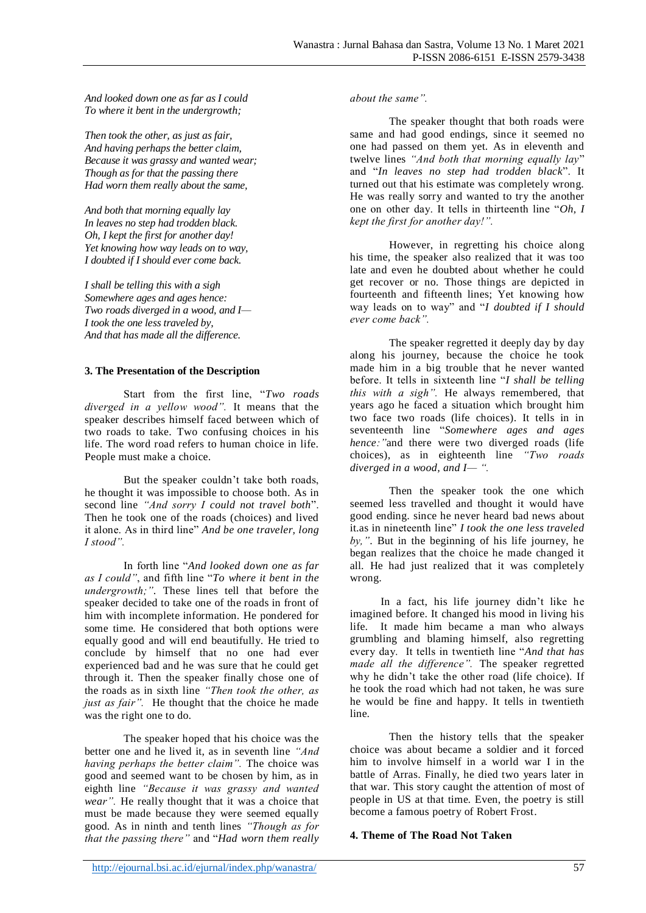*And looked down one as far as I could To where it bent in the undergrowth;*

*Then took the other, as just as fair, And having perhaps the better claim, Because it was grassy and wanted wear; Though as for that the passing there Had worn them really about the same,*

*And both that morning equally lay In leaves no step had trodden black. Oh, I kept the first for another day! Yet knowing how way leads on to way, I doubted if I should ever come back.*

*I shall be telling this with a sigh Somewhere ages and ages hence: Two roads diverged in a wood, and I— I took the one less traveled by, And that has made all the difference.*

## **3. The Presentation of the Description**

Start from the first line, "*Two roads diverged in a yellow wood".* It means that the speaker describes himself faced between which of two roads to take. Two confusing choices in his life. The word road refers to human choice in life. People must make a choice.

But the speaker couldn't take both roads, he thought it was impossible to choose both. As in second line *"And sorry I could not travel both*". Then he took one of the roads (choices) and lived it alone. As in third line" *And be one traveler, long I stood".*

In forth line "*And looked down one as far as I could"*, and fifth line "*To where it bent in the undergrowth;"*. These lines tell that before the speaker decided to take one of the roads in front of him with incomplete information. He pondered for some time. He considered that both options were equally good and will end beautifully. He tried to conclude by himself that no one had ever experienced bad and he was sure that he could get through it. Then the speaker finally chose one of the roads as in sixth line *"Then took the other, as just as fair*". He thought that the choice he made was the right one to do.

The speaker hoped that his choice was the better one and he lived it, as in seventh line *"And having perhaps the better claim".* The choice was good and seemed want to be chosen by him, as in eighth line *"Because it was grassy and wanted wear".* He really thought that it was a choice that must be made because they were seemed equally good. As in ninth and tenth lines *"Though as for that the passing there"* and "*Had worn them really*  *about the same".*

The speaker thought that both roads were same and had good endings, since it seemed no one had passed on them yet. As in eleventh and twelve lines *"And both that morning equally lay*" and "*In leaves no step had trodden black*". It turned out that his estimate was completely wrong. He was really sorry and wanted to try the another one on other day. It tells in thirteenth line "*Oh, I kept the first for another day!".* 

However, in regretting his choice along his time, the speaker also realized that it was too late and even he doubted about whether he could get recover or no. Those things are depicted in fourteenth and fifteenth lines; Yet knowing how way leads on to way" and "*I doubted if I should ever come back".*

The speaker regretted it deeply day by day along his journey, because the choice he took made him in a big trouble that he never wanted before. It tells in sixteenth line "*I shall be telling this with a sigh".* He always remembered, that years ago he faced a situation which brought him two face two roads (life choices). It tells in in seventeenth line "*Somewhere ages and ages hence:"*and there were two diverged roads (life choices), as in eighteenth line *"Two roads diverged in a wood, and I— ".*

Then the speaker took the one which seemed less travelled and thought it would have good ending. since he never heard bad news about it.as in nineteenth line" *I took the one less traveled by,"*. But in the beginning of his life journey, he began realizes that the choice he made changed it all. He had just realized that it was completely wrong.

In a fact, his life journey didn't like he imagined before. It changed his mood in living his life. It made him became a man who always grumbling and blaming himself, also regretting every day. It tells in twentieth line "*And that has made all the difference".* The speaker regretted why he didn't take the other road (life choice). If he took the road which had not taken, he was sure he would be fine and happy. It tells in twentieth line.

Then the history tells that the speaker choice was about became a soldier and it forced him to involve himself in a world war I in the battle of Arras. Finally, he died two years later in that war. This story caught the attention of most of people in US at that time. Even, the poetry is still become a famous poetry of Robert Frost.

## **4. Theme of The Road Not Taken**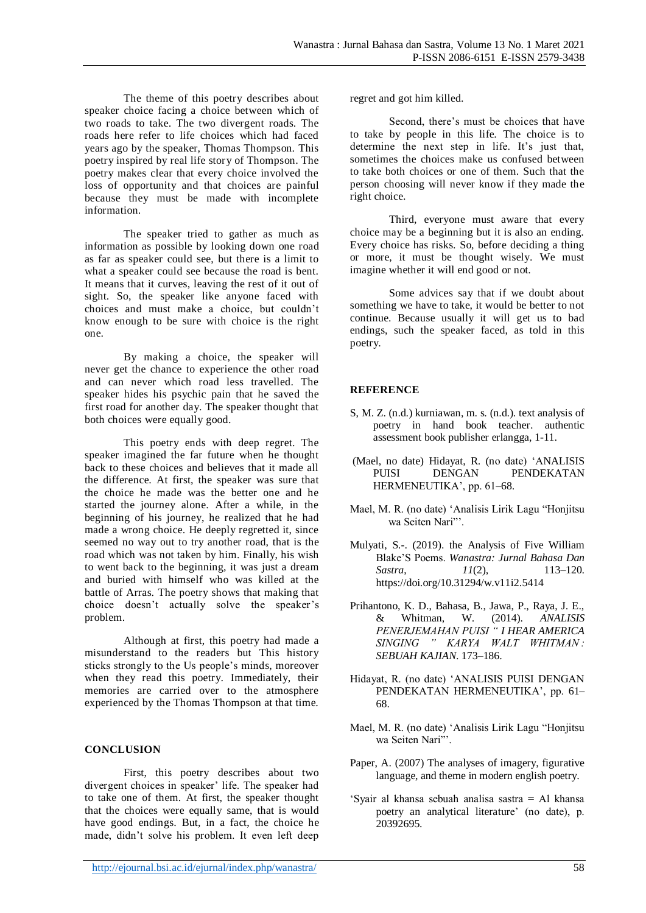The theme of this poetry describes about speaker choice facing a choice between which of two roads to take. The two divergent roads. The roads here refer to life choices which had faced years ago by the speaker, Thomas Thompson. This poetry inspired by real life story of Thompson. The poetry makes clear that every choice involved the loss of opportunity and that choices are painful because they must be made with incomplete information.

The speaker tried to gather as much as information as possible by looking down one road as far as speaker could see, but there is a limit to what a speaker could see because the road is bent. It means that it curves, leaving the rest of it out of sight. So, the speaker like anyone faced with choices and must make a choice, but couldn't know enough to be sure with choice is the right one.

By making a choice, the speaker will never get the chance to experience the other road and can never which road less travelled. The speaker hides his psychic pain that he saved the first road for another day. The speaker thought that both choices were equally good.

This poetry ends with deep regret. The speaker imagined the far future when he thought back to these choices and believes that it made all the difference. At first, the speaker was sure that the choice he made was the better one and he started the journey alone. After a while, in the beginning of his journey, he realized that he had made a wrong choice. He deeply regretted it, since seemed no way out to try another road, that is the road which was not taken by him. Finally, his wish to went back to the beginning, it was just a dream and buried with himself who was killed at the battle of Arras. The poetry shows that making that choice doesn't actually solve the speaker's problem.

Although at first, this poetry had made a misunderstand to the readers but This history sticks strongly to the Us people's minds, moreover when they read this poetry. Immediately, their memories are carried over to the atmosphere experienced by the Thomas Thompson at that time.

# **CONCLUSION**

First, this poetry describes about two divergent choices in speaker' life. The speaker had to take one of them. At first, the speaker thought that the choices were equally same, that is would have good endings. But, in a fact, the choice he made, didn't solve his problem. It even left deep

regret and got him killed.

Second, there's must be choices that have to take by people in this life. The choice is to determine the next step in life. It's just that, sometimes the choices make us confused between to take both choices or one of them. Such that the person choosing will never know if they made the right choice.

Third, everyone must aware that every choice may be a beginning but it is also an ending. Every choice has risks. So, before deciding a thing or more, it must be thought wisely. We must imagine whether it will end good or not.

Some advices say that if we doubt about something we have to take, it would be better to not continue. Because usually it will get us to bad endings, such the speaker faced, as told in this poetry.

# **REFERENCE**

- S, M. Z. (n.d.) kurniawan, m. s. (n.d.). text analysis of poetry in hand book teacher. authentic assessment book publisher erlangga, 1-11.
- (Mael, no date) Hidayat, R. (no date) 'ANALISIS PUISI DENGAN PENDEKATAN HERMENEUTIKA', pp. 61–68.
- Mael, M. R. (no date) 'Analisis Lirik Lagu "Honjitsu wa Seiten Nari"'.
- Mulyati, S.-. (2019). the Analysis of Five William Blake'S Poems. *Wanastra: Jurnal Bahasa Dan Sastra*, *11*(2), 113–120. https://doi.org/10.31294/w.v11i2.5414
- Prihantono, K. D., Bahasa, B., Jawa, P., Raya, J. E., & Whitman, W. (2014). *ANALISIS PENERJEMAHAN PUISI " I HEAR AMERICA SINGING " KARYA WALT WHITMAN : SEBUAH KAJIAN*. 173–186.
- Hidayat, R. (no date) 'ANALISIS PUISI DENGAN PENDEKATAN HERMENEUTIKA', pp. 61– 68.
- Mael, M. R. (no date) 'Analisis Lirik Lagu "Honjitsu wa Seiten Nari"'.
- Paper, A. (2007) The analyses of imagery, figurative language, and theme in modern english poetry.
- 'Syair al khansa sebuah analisa sastra = Al khansa poetry an analytical literature' (no date), p. 20392695.